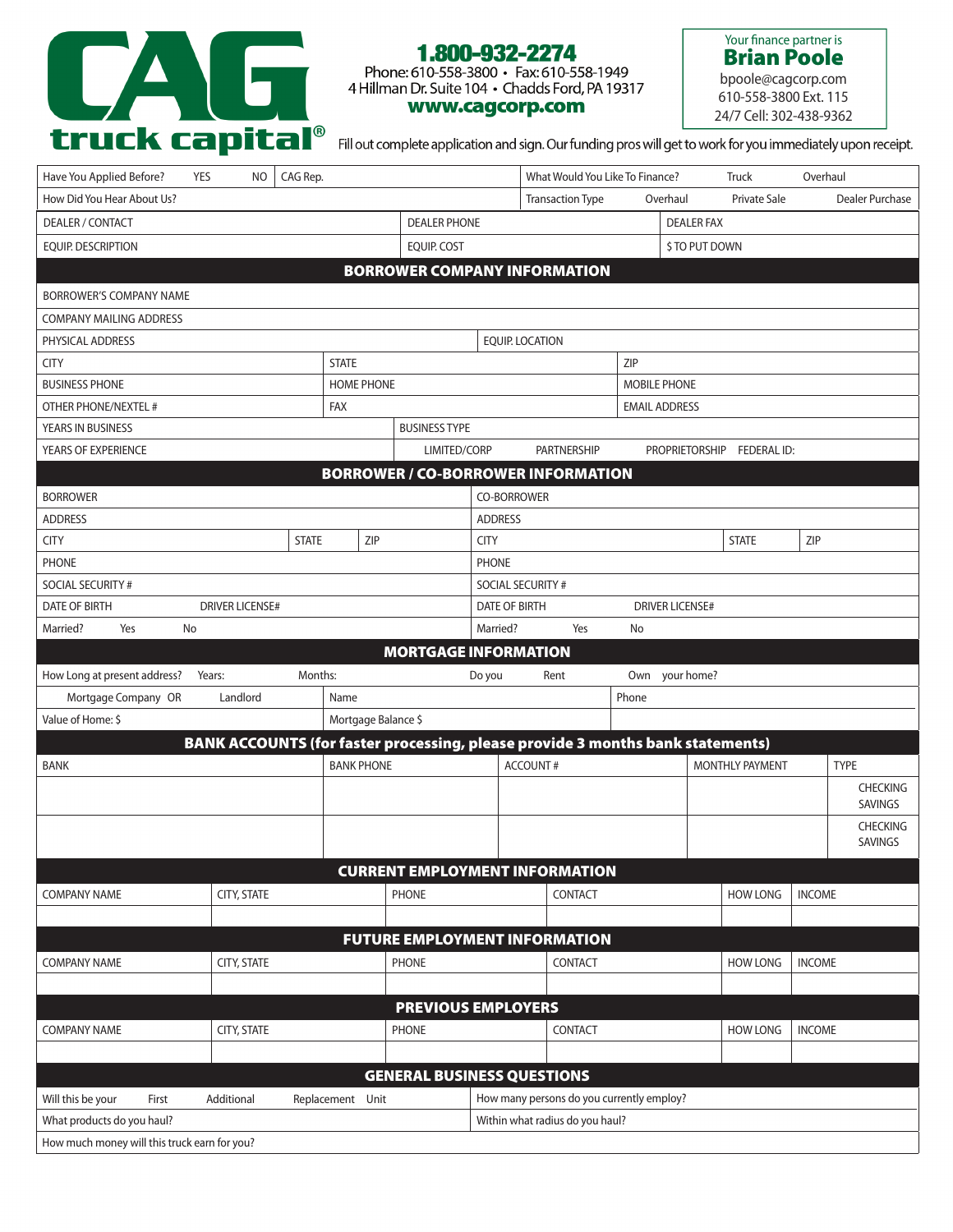

## 1.800-932-2274

Phone: 610-558-3800 • Fax: 610-558-1949<br>4 Hillman Dr. Suite 104 • Chadds Ford, PA 19317 www.cagcorp.com

Your finance partner is Brian Poole bpoole@cagcorp.com 610-558-3800 Ext. 115

24/7 Cell: 302-438-9362

Fill out complete application and sign. Our funding pros will get to work for you immediately upon receipt.

| Have You Applied Before?<br><b>YES</b>     | NO.                    | CAG Rep.     |                     |                                   |                                                | What Would You Like To Finance?                                                |                |                   | <b>Truck</b>               | Overhaul      |                            |  |
|--------------------------------------------|------------------------|--------------|---------------------|-----------------------------------|------------------------------------------------|--------------------------------------------------------------------------------|----------------|-------------------|----------------------------|---------------|----------------------------|--|
| How Did You Hear About Us?                 |                        |              |                     |                                   |                                                | <b>Transaction Type</b>                                                        | Overhaul       |                   | Private Sale               |               | Dealer Purchase            |  |
| DEALER / CONTACT                           |                        |              |                     | <b>DEALER PHONE</b>               |                                                |                                                                                |                | <b>DEALER FAX</b> |                            |               |                            |  |
| EQUIP. DESCRIPTION                         |                        |              |                     | <b>EQUIP. COST</b>                | \$ TO PUT DOWN                                 |                                                                                |                |                   |                            |               |                            |  |
|                                            |                        |              |                     |                                   |                                                | <b>BORROWER COMPANY INFORMATION</b>                                            |                |                   |                            |               |                            |  |
| BORROWER'S COMPANY NAME                    |                        |              |                     |                                   |                                                |                                                                                |                |                   |                            |               |                            |  |
| <b>COMPANY MAILING ADDRESS</b>             |                        |              |                     |                                   |                                                |                                                                                |                |                   |                            |               |                            |  |
| PHYSICAL ADDRESS                           |                        |              |                     |                                   | <b>EQUIP. LOCATION</b>                         |                                                                                |                |                   |                            |               |                            |  |
| <b>STATE</b><br><b>CITY</b>                |                        |              | ZIP                 |                                   |                                                |                                                                                |                |                   |                            |               |                            |  |
| <b>BUSINESS PHONE</b><br><b>HOME PHONE</b> |                        |              |                     |                                   |                                                | <b>MOBILE PHONE</b>                                                            |                |                   |                            |               |                            |  |
| OTHER PHONE/NEXTEL #<br><b>FAX</b>         |                        |              |                     |                                   |                                                | <b>EMAIL ADDRESS</b>                                                           |                |                   |                            |               |                            |  |
| YEARS IN BUSINESS                          |                        |              |                     | <b>BUSINESS TYPE</b>              |                                                |                                                                                |                |                   |                            |               |                            |  |
| YEARS OF EXPERIENCE                        |                        |              |                     | LIMITED/CORP                      |                                                | PARTNERSHIP                                                                    |                |                   | PROPRIETORSHIP FEDERAL ID: |               |                            |  |
|                                            |                        |              |                     |                                   |                                                | <b>BORROWER / CO-BORROWER INFORMATION</b>                                      |                |                   |                            |               |                            |  |
| <b>BORROWER</b>                            |                        |              |                     |                                   | CO-BORROWER                                    |                                                                                |                |                   |                            |               |                            |  |
| <b>ADDRESS</b>                             |                        |              |                     |                                   | <b>ADDRESS</b>                                 |                                                                                |                |                   |                            |               |                            |  |
| <b>CITY</b>                                |                        | <b>STATE</b> | ZIP                 |                                   | <b>CITY</b>                                    |                                                                                |                |                   | <b>STATE</b>               | ZIP           |                            |  |
| <b>PHONE</b>                               |                        |              |                     |                                   | <b>PHONE</b>                                   |                                                                                |                |                   |                            |               |                            |  |
| SOCIAL SECURITY #                          |                        |              |                     |                                   | SOCIAL SECURITY #                              |                                                                                |                |                   |                            |               |                            |  |
| <b>DATE OF BIRTH</b>                       | <b>DRIVER LICENSE#</b> |              |                     |                                   | <b>DATE OF BIRTH</b><br><b>DRIVER LICENSE#</b> |                                                                                |                |                   |                            |               |                            |  |
| No<br>Married?<br>Yes                      |                        |              |                     |                                   | Married?                                       | Yes                                                                            | No             |                   |                            |               |                            |  |
|                                            |                        |              |                     | <b>MORTGAGE INFORMATION</b>       |                                                |                                                                                |                |                   |                            |               |                            |  |
| How Long at present address?               | Years:                 | Months:      |                     |                                   | Do you                                         | Rent                                                                           | Own your home? |                   |                            |               |                            |  |
| Mortgage Company OR                        | Landlord               |              |                     |                                   |                                                |                                                                                |                |                   |                            |               |                            |  |
|                                            |                        |              | Name                |                                   |                                                |                                                                                | Phone          |                   |                            |               |                            |  |
| Value of Home: \$                          |                        |              | Mortgage Balance \$ |                                   |                                                |                                                                                |                |                   |                            |               |                            |  |
|                                            |                        |              |                     |                                   |                                                | BANK ACCOUNTS (for faster processing, please provide 3 months bank statements) |                |                   |                            |               |                            |  |
| <b>BANK</b>                                |                        |              | <b>BANK PHONE</b>   |                                   |                                                | <b>ACCOUNT#</b>                                                                |                |                   | <b>MONTHLY PAYMENT</b>     |               | <b>TYPE</b>                |  |
|                                            |                        |              |                     |                                   |                                                |                                                                                |                |                   |                            |               | <b>CHECKING</b>            |  |
|                                            |                        |              |                     |                                   |                                                |                                                                                |                |                   |                            |               | <b>SAVINGS</b>             |  |
|                                            |                        |              |                     |                                   |                                                |                                                                                |                |                   |                            |               | <b>CHECKING</b><br>SAVINGS |  |
|                                            |                        |              |                     |                                   |                                                |                                                                                |                |                   |                            |               |                            |  |
|                                            |                        |              |                     |                                   |                                                | <b>CURRENT EMPLOYMENT INFORMATION</b>                                          |                |                   |                            |               |                            |  |
| <b>COMPANY NAME</b>                        | <b>CITY, STATE</b>     |              |                     | <b>PHONE</b>                      |                                                | CONTACT                                                                        |                |                   | <b>HOW LONG</b>            | <b>INCOME</b> |                            |  |
|                                            |                        |              |                     |                                   |                                                |                                                                                |                |                   |                            |               |                            |  |
| <b>COMPANY NAME</b>                        | <b>CITY, STATE</b>     |              |                     | <b>PHONE</b>                      |                                                | <b>FUTURE EMPLOYMENT INFORMATION</b><br>CONTACT                                |                |                   | <b>HOW LONG</b>            | <b>INCOME</b> |                            |  |
|                                            |                        |              |                     |                                   |                                                |                                                                                |                |                   |                            |               |                            |  |
|                                            |                        |              |                     | <b>PREVIOUS EMPLOYERS</b>         |                                                |                                                                                |                |                   |                            |               |                            |  |
| <b>COMPANY NAME</b>                        | CITY, STATE            |              |                     | <b>PHONE</b>                      |                                                | CONTACT                                                                        |                |                   | <b>HOW LONG</b>            | <b>INCOME</b> |                            |  |
|                                            |                        |              |                     |                                   |                                                |                                                                                |                |                   |                            |               |                            |  |
|                                            |                        |              |                     | <b>GENERAL BUSINESS QUESTIONS</b> |                                                |                                                                                |                |                   |                            |               |                            |  |
| Will this be your<br>First                 | Additional             |              | Replacement Unit    |                                   |                                                | How many persons do you currently employ?                                      |                |                   |                            |               |                            |  |
| What products do you haul?                 |                        |              |                     |                                   |                                                | Within what radius do you haul?                                                |                |                   |                            |               |                            |  |